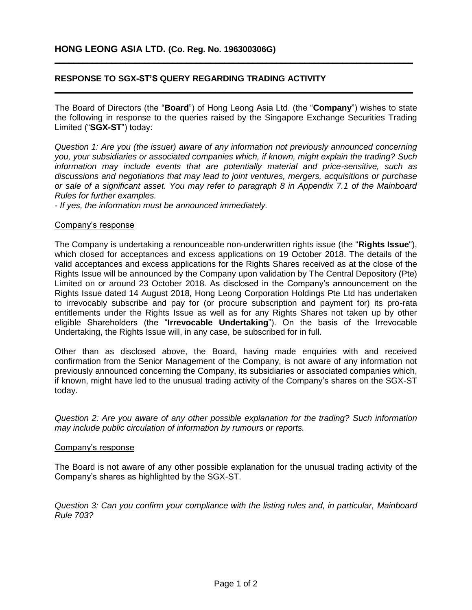## **RESPONSE TO SGX-ST'S QUERY REGARDING TRADING ACTIVITY**

The Board of Directors (the "**Board**") of Hong Leong Asia Ltd. (the "**Company**") wishes to state the following in response to the queries raised by the Singapore Exchange Securities Trading Limited ("**SGX-ST**") today:

**\_\_\_\_\_\_\_\_\_\_\_\_\_\_\_\_\_\_\_\_\_\_\_\_\_\_\_\_\_\_\_\_\_\_\_\_\_\_\_\_\_\_\_\_\_\_\_\_\_\_\_\_\_\_\_\_\_\_\_\_\_\_\_\_\_\_\_\_\_\_\_\_\_\_\_\_**

**\_\_\_\_\_\_\_\_\_\_\_\_\_\_\_\_\_\_\_\_\_\_\_\_\_\_\_\_\_\_\_\_\_\_\_\_\_\_\_\_\_\_\_\_\_\_\_\_\_\_\_\_\_\_\_\_\_\_\_\_\_\_\_\_\_\_\_\_\_\_\_\_\_\_\_\_**

*Question 1: Are you (the issuer) aware of any information not previously announced concerning you, your subsidiaries or associated companies which, if known, might explain the trading? Such information may include events that are potentially material and price-sensitive, such as discussions and negotiations that may lead to joint ventures, mergers, acquisitions or purchase or sale of a significant asset. You may refer to paragraph 8 in Appendix 7.1 of the Mainboard Rules for further examples.*

*- If yes, the information must be announced immediately.*

## Company's response

The Company is undertaking a renounceable non-underwritten rights issue (the "**Rights Issue**"), which closed for acceptances and excess applications on 19 October 2018. The details of the valid acceptances and excess applications for the Rights Shares received as at the close of the Rights Issue will be announced by the Company upon validation by The Central Depository (Pte) Limited on or around 23 October 2018. As disclosed in the Company's announcement on the Rights Issue dated 14 August 2018, Hong Leong Corporation Holdings Pte Ltd has undertaken to irrevocably subscribe and pay for (or procure subscription and payment for) its pro-rata entitlements under the Rights Issue as well as for any Rights Shares not taken up by other eligible Shareholders (the "**Irrevocable Undertaking**"). On the basis of the Irrevocable Undertaking, the Rights Issue will, in any case, be subscribed for in full.

Other than as disclosed above, the Board, having made enquiries with and received confirmation from the Senior Management of the Company, is not aware of any information not previously announced concerning the Company, its subsidiaries or associated companies which, if known, might have led to the unusual trading activity of the Company's shares on the SGX-ST today.

*Question 2: Are you aware of any other possible explanation for the trading? Such information may include public circulation of information by rumours or reports.* 

## Company's response

The Board is not aware of any other possible explanation for the unusual trading activity of the Company's shares as highlighted by the SGX-ST.

*Question 3: Can you confirm your compliance with the listing rules and, in particular, Mainboard Rule 703?*